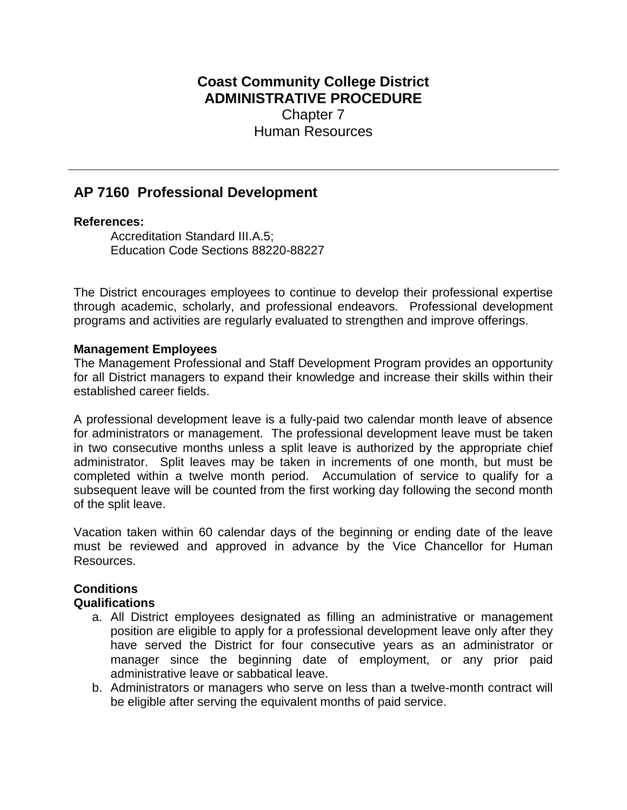# **Coast Community College District ADMINISTRATIVE PROCEDURE** Chapter 7 Human Resources

# **AP 7160 Professional Development**

#### **References:**

Accreditation Standard III.A.5; Education Code Sections 88220-88227

The District encourages employees to continue to develop their professional expertise through academic, scholarly, and professional endeavors. Professional development programs and activities are regularly evaluated to strengthen and improve offerings.

#### **Management Employees**

The Management Professional and Staff Development Program provides an opportunity for all District managers to expand their knowledge and increase their skills within their established career fields.

A professional development leave is a fully-paid two calendar month leave of absence for administrators or management. The professional development leave must be taken in two consecutive months unless a split leave is authorized by the appropriate chief administrator. Split leaves may be taken in increments of one month, but must be completed within a twelve month period. Accumulation of service to qualify for a subsequent leave will be counted from the first working day following the second month of the split leave.

Vacation taken within 60 calendar days of the beginning or ending date of the leave must be reviewed and approved in advance by the Vice Chancellor for Human Resources.

# **Conditions**

#### **Qualifications**

- a. All District employees designated as filling an administrative or management position are eligible to apply for a professional development leave only after they have served the District for four consecutive years as an administrator or manager since the beginning date of employment, or any prior paid administrative leave or sabbatical leave.
- b. Administrators or managers who serve on less than a twelve-month contract will be eligible after serving the equivalent months of paid service.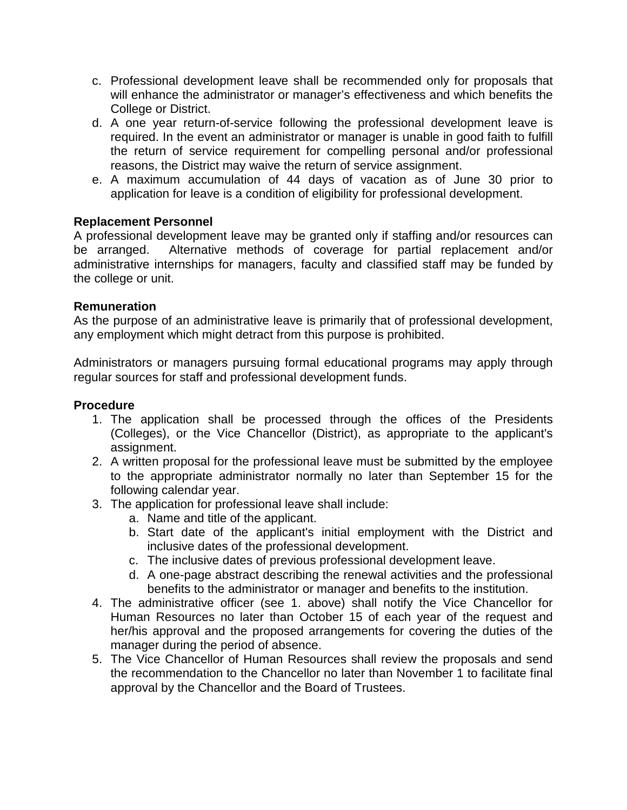- c. Professional development leave shall be recommended only for proposals that will enhance the administrator or manager's effectiveness and which benefits the College or District.
- d. A one year return-of-service following the professional development leave is required. In the event an administrator or manager is unable in good faith to fulfill the return of service requirement for compelling personal and/or professional reasons, the District may waive the return of service assignment.
- e. A maximum accumulation of 44 days of vacation as of June 30 prior to application for leave is a condition of eligibility for professional development.

## **Replacement Personnel**

A professional development leave may be granted only if staffing and/or resources can be arranged. Alternative methods of coverage for partial replacement and/or administrative internships for managers, faculty and classified staff may be funded by the college or unit.

#### **Remuneration**

As the purpose of an administrative leave is primarily that of professional development, any employment which might detract from this purpose is prohibited.

Administrators or managers pursuing formal educational programs may apply through regular sources for staff and professional development funds.

#### **Procedure**

- 1. The application shall be processed through the offices of the Presidents (Colleges), or the Vice Chancellor (District), as appropriate to the applicant's assignment.
- 2. A written proposal for the professional leave must be submitted by the employee to the appropriate administrator normally no later than September 15 for the following calendar year.
- 3. The application for professional leave shall include:
	- a. Name and title of the applicant.
	- b. Start date of the applicant's initial employment with the District and inclusive dates of the professional development.
	- c. The inclusive dates of previous professional development leave.
	- d. A one-page abstract describing the renewal activities and the professional benefits to the administrator or manager and benefits to the institution.
- 4. The administrative officer (see 1. above) shall notify the Vice Chancellor for Human Resources no later than October 15 of each year of the request and her/his approval and the proposed arrangements for covering the duties of the manager during the period of absence.
- 5. The Vice Chancellor of Human Resources shall review the proposals and send the recommendation to the Chancellor no later than November 1 to facilitate final approval by the Chancellor and the Board of Trustees.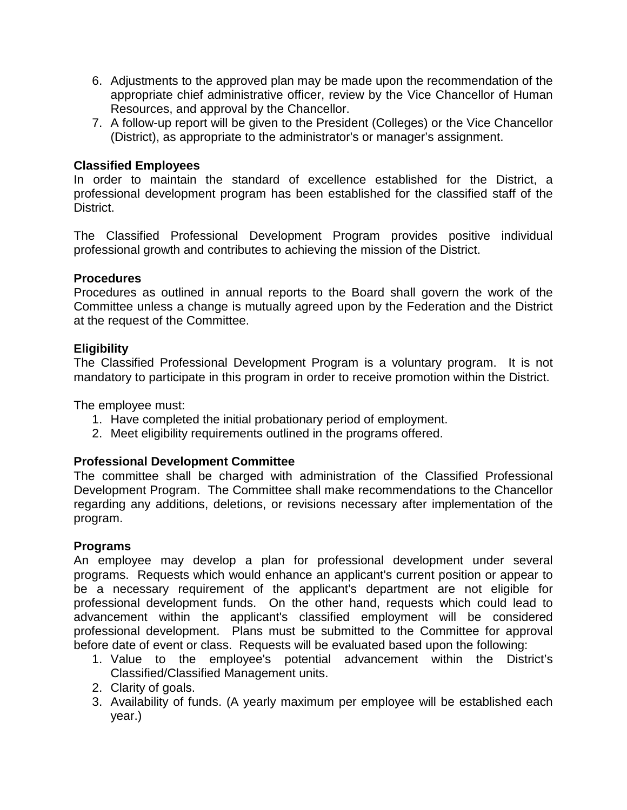- 6. Adjustments to the approved plan may be made upon the recommendation of the appropriate chief administrative officer, review by the Vice Chancellor of Human Resources, and approval by the Chancellor.
- 7. A follow-up report will be given to the President (Colleges) or the Vice Chancellor (District), as appropriate to the administrator's or manager's assignment.

## **Classified Employees**

In order to maintain the standard of excellence established for the District, a professional development program has been established for the classified staff of the District.

The Classified Professional Development Program provides positive individual professional growth and contributes to achieving the mission of the District.

#### **Procedures**

Procedures as outlined in annual reports to the Board shall govern the work of the Committee unless a change is mutually agreed upon by the Federation and the District at the request of the Committee.

## **Eligibility**

The Classified Professional Development Program is a voluntary program. It is not mandatory to participate in this program in order to receive promotion within the District.

The employee must:

- 1. Have completed the initial probationary period of employment.
- 2. Meet eligibility requirements outlined in the programs offered.

# **Professional Development Committee**

The committee shall be charged with administration of the Classified Professional Development Program. The Committee shall make recommendations to the Chancellor regarding any additions, deletions, or revisions necessary after implementation of the program.

#### **Programs**

An employee may develop a plan for professional development under several programs. Requests which would enhance an applicant's current position or appear to be a necessary requirement of the applicant's department are not eligible for professional development funds. On the other hand, requests which could lead to advancement within the applicant's classified employment will be considered professional development. Plans must be submitted to the Committee for approval before date of event or class. Requests will be evaluated based upon the following:

- 1. Value to the employee's potential advancement within the District's Classified/Classified Management units.
- 2. Clarity of goals.
- 3. Availability of funds. (A yearly maximum per employee will be established each year.)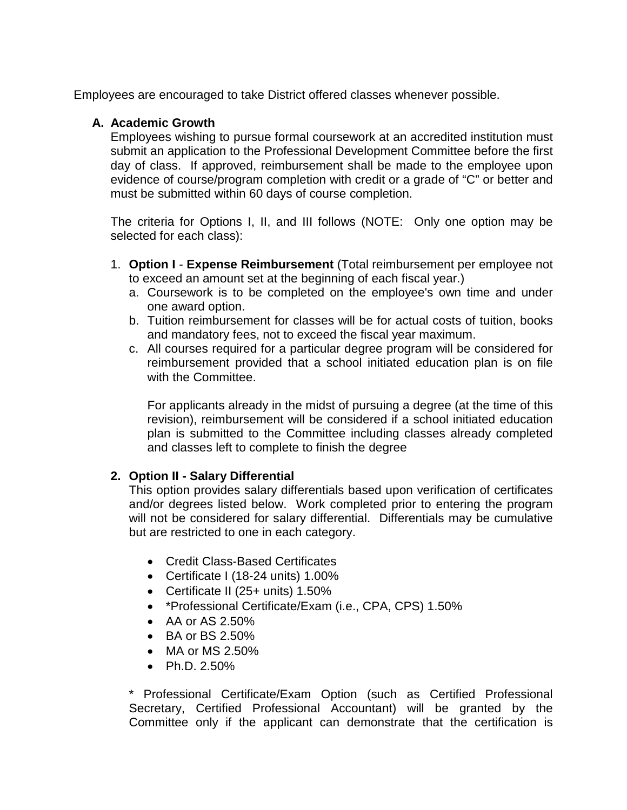Employees are encouraged to take District offered classes whenever possible.

#### **A. Academic Growth**

Employees wishing to pursue formal coursework at an accredited institution must submit an application to the Professional Development Committee before the first day of class. If approved, reimbursement shall be made to the employee upon evidence of course/program completion with credit or a grade of "C" or better and must be submitted within 60 days of course completion.

The criteria for Options I, II, and III follows (NOTE: Only one option may be selected for each class):

- 1. **Option I Expense Reimbursement** (Total reimbursement per employee not to exceed an amount set at the beginning of each fiscal year.)
	- a. Coursework is to be completed on the employee's own time and under one award option.
	- b. Tuition reimbursement for classes will be for actual costs of tuition, books and mandatory fees, not to exceed the fiscal year maximum.
	- c. All courses required for a particular degree program will be considered for reimbursement provided that a school initiated education plan is on file with the Committee.

For applicants already in the midst of pursuing a degree (at the time of this revision), reimbursement will be considered if a school initiated education plan is submitted to the Committee including classes already completed and classes left to complete to finish the degree

# **2. Option II - Salary Differential**

This option provides salary differentials based upon verification of certificates and/or degrees listed below. Work completed prior to entering the program will not be considered for salary differential. Differentials may be cumulative but are restricted to one in each category.

- Credit Class-Based Certificates
- Certificate I (18-24 units) 1.00%
- Certificate II (25+ units) 1.50%
- \*Professional Certificate/Exam (i.e., CPA, CPS) 1.50%
- $\bullet$  AA or AS 2.50%
- BA or BS 2.50%
- MA or MS 2.50%
- Ph.D. 2.50%

\* Professional Certificate/Exam Option (such as Certified Professional Secretary, Certified Professional Accountant) will be granted by the Committee only if the applicant can demonstrate that the certification is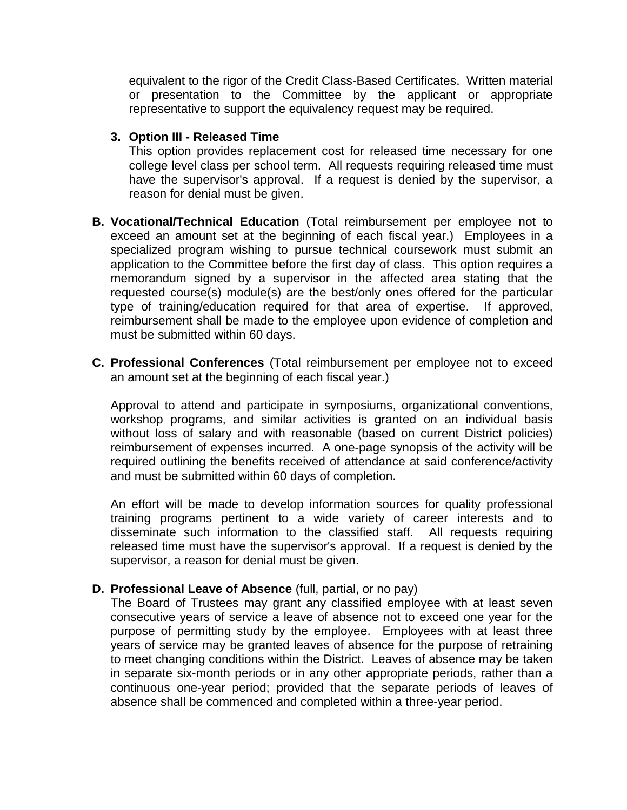equivalent to the rigor of the Credit Class-Based Certificates. Written material or presentation to the Committee by the applicant or appropriate representative to support the equivalency request may be required.

#### **3. Option III - Released Time**

This option provides replacement cost for released time necessary for one college level class per school term. All requests requiring released time must have the supervisor's approval. If a request is denied by the supervisor, a reason for denial must be given.

- **B. Vocational/Technical Education** (Total reimbursement per employee not to exceed an amount set at the beginning of each fiscal year.) Employees in a specialized program wishing to pursue technical coursework must submit an application to the Committee before the first day of class. This option requires a memorandum signed by a supervisor in the affected area stating that the requested course(s) module(s) are the best/only ones offered for the particular type of training/education required for that area of expertise. If approved, reimbursement shall be made to the employee upon evidence of completion and must be submitted within 60 days.
- **C. Professional Conferences** (Total reimbursement per employee not to exceed an amount set at the beginning of each fiscal year.)

Approval to attend and participate in symposiums, organizational conventions, workshop programs, and similar activities is granted on an individual basis without loss of salary and with reasonable (based on current District policies) reimbursement of expenses incurred. A one-page synopsis of the activity will be required outlining the benefits received of attendance at said conference/activity and must be submitted within 60 days of completion.

An effort will be made to develop information sources for quality professional training programs pertinent to a wide variety of career interests and to disseminate such information to the classified staff. All requests requiring released time must have the supervisor's approval. If a request is denied by the supervisor, a reason for denial must be given.

#### **D. Professional Leave of Absence** (full, partial, or no pay)

The Board of Trustees may grant any classified employee with at least seven consecutive years of service a leave of absence not to exceed one year for the purpose of permitting study by the employee. Employees with at least three years of service may be granted leaves of absence for the purpose of retraining to meet changing conditions within the District. Leaves of absence may be taken in separate six-month periods or in any other appropriate periods, rather than a continuous one-year period; provided that the separate periods of leaves of absence shall be commenced and completed within a three-year period.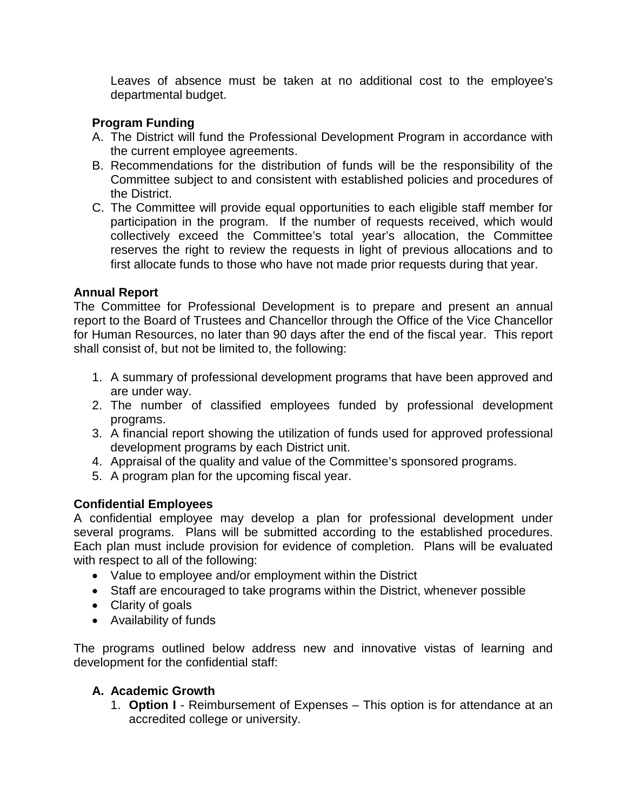Leaves of absence must be taken at no additional cost to the employee's departmental budget.

## **Program Funding**

- A. The District will fund the Professional Development Program in accordance with the current employee agreements.
- B. Recommendations for the distribution of funds will be the responsibility of the Committee subject to and consistent with established policies and procedures of the District.
- C. The Committee will provide equal opportunities to each eligible staff member for participation in the program. If the number of requests received, which would collectively exceed the Committee's total year's allocation, the Committee reserves the right to review the requests in light of previous allocations and to first allocate funds to those who have not made prior requests during that year.

## **Annual Report**

The Committee for Professional Development is to prepare and present an annual report to the Board of Trustees and Chancellor through the Office of the Vice Chancellor for Human Resources, no later than 90 days after the end of the fiscal year. This report shall consist of, but not be limited to, the following:

- 1. A summary of professional development programs that have been approved and are under way.
- 2. The number of classified employees funded by professional development programs.
- 3. A financial report showing the utilization of funds used for approved professional development programs by each District unit.
- 4. Appraisal of the quality and value of the Committee's sponsored programs.
- 5. A program plan for the upcoming fiscal year.

# **Confidential Employees**

A confidential employee may develop a plan for professional development under several programs. Plans will be submitted according to the established procedures. Each plan must include provision for evidence of completion. Plans will be evaluated with respect to all of the following:

- Value to employee and/or employment within the District
- Staff are encouraged to take programs within the District, whenever possible
- Clarity of goals
- Availability of funds

The programs outlined below address new and innovative vistas of learning and development for the confidential staff:

# **A. Academic Growth**

1. **Option I** - Reimbursement of Expenses – This option is for attendance at an accredited college or university.